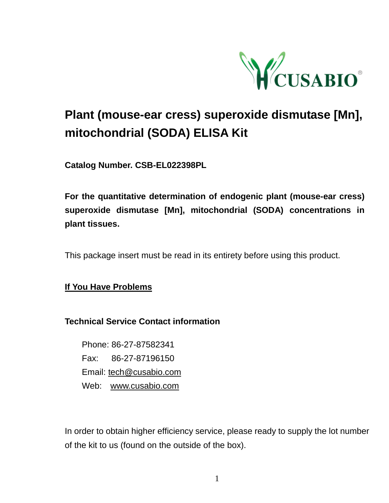

# **Plant (mouse-ear cress) superoxide dismutase [Mn], mitochondrial (SODA) ELISA Kit**

**Catalog Number. CSB-EL022398PL**

**For the quantitative determination of endogenic plant (mouse-ear cress) superoxide dismutase [Mn], mitochondrial (SODA) concentrations in plant tissues.**

This package insert must be read in its entirety before using this product.

**If You Have Problems**

## **Technical Service Contact information**

Phone: 86-27-87582341 Fax: 86-27-87196150 Email: [tech@cusabio.com](mailto:tech@cusabio.com) Web: [www.cusabio.com](http://www.cusabio.com/)

In order to obtain higher efficiency service, please ready to supply the lot number of the kit to us (found on the outside of the box).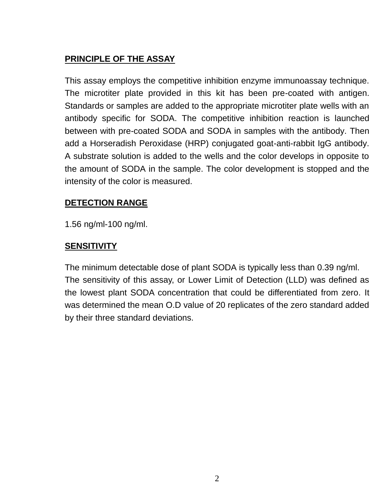## **PRINCIPLE OF THE ASSAY**

This assay employs the competitive inhibition enzyme immunoassay technique. The microtiter plate provided in this kit has been pre-coated with antigen. Standards or samples are added to the appropriate microtiter plate wells with an antibody specific for SODA. The competitive inhibition reaction is launched between with pre-coated SODA and SODA in samples with the antibody. Then add a Horseradish Peroxidase (HRP) conjugated goat-anti-rabbit IgG antibody. A substrate solution is added to the wells and the color develops in opposite to the amount of SODA in the sample. The color development is stopped and the intensity of the color is measured.

## **DETECTION RANGE**

1.56 ng/ml-100 ng/ml.

## **SENSITIVITY**

The minimum detectable dose of plant SODA is typically less than 0.39 ng/ml. The sensitivity of this assay, or Lower Limit of Detection (LLD) was defined as the lowest plant SODA concentration that could be differentiated from zero. It was determined the mean O.D value of 20 replicates of the zero standard added by their three standard deviations.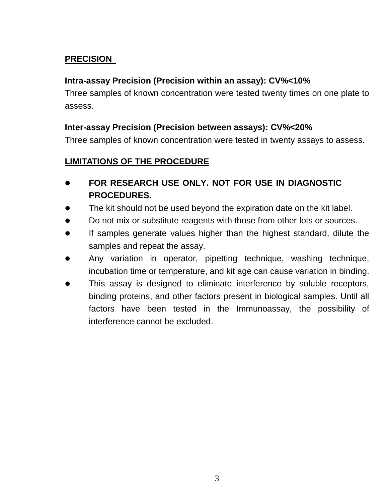## **PRECISION**

## **Intra-assay Precision (Precision within an assay): CV%<10%**

Three samples of known concentration were tested twenty times on one plate to assess.

## **Inter-assay Precision (Precision between assays): CV%<20%**

Three samples of known concentration were tested in twenty assays to assess.

## **LIMITATIONS OF THE PROCEDURE**

- **FOR RESEARCH USE ONLY. NOT FOR USE IN DIAGNOSTIC PROCEDURES.**
- The kit should not be used beyond the expiration date on the kit label.
- Do not mix or substitute reagents with those from other lots or sources.
- If samples generate values higher than the highest standard, dilute the samples and repeat the assay.
- Any variation in operator, pipetting technique, washing technique, incubation time or temperature, and kit age can cause variation in binding.
- This assay is designed to eliminate interference by soluble receptors, binding proteins, and other factors present in biological samples. Until all factors have been tested in the Immunoassay, the possibility of interference cannot be excluded.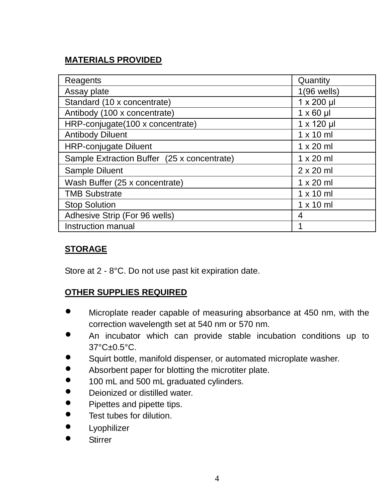# **MATERIALS PROVIDED**

| Reagents                                    | Quantity         |
|---------------------------------------------|------------------|
| Assay plate                                 | $1(96$ wells)    |
| Standard (10 x concentrate)                 | 1 x 200 µl       |
| Antibody (100 x concentrate)                | $1 \times 60$ µ  |
| HRP-conjugate(100 x concentrate)            | 1 x 120 µl       |
| <b>Antibody Diluent</b>                     | $1 \times 10$ ml |
| <b>HRP-conjugate Diluent</b>                | $1 \times 20$ ml |
| Sample Extraction Buffer (25 x concentrate) | $1 \times 20$ ml |
| Sample Diluent                              | $2 \times 20$ ml |
| Wash Buffer (25 x concentrate)              | $1 \times 20$ ml |
| <b>TMB Substrate</b>                        | $1 \times 10$ ml |
| <b>Stop Solution</b>                        | $1 \times 10$ ml |
| Adhesive Strip (For 96 wells)               | 4                |
| Instruction manual                          |                  |

## **STORAGE**

Store at 2 - 8°C. Do not use past kit expiration date.

## **OTHER SUPPLIES REQUIRED**

- Microplate reader capable of measuring absorbance at 450 nm, with the correction wavelength set at 540 nm or 570 nm.
- An incubator which can provide stable incubation conditions up to 37°C±0.5°C.
- Squirt bottle, manifold dispenser, or automated microplate washer.<br>• Absorbent paper for blotting the microtiter plate.
- Absorbent paper for blotting the microtiter plate.<br>● 100 ml and 500 ml graduated cylinders.
- 100 mL and 500 mL graduated cylinders.<br>• Dejonized or distilled water
- Deionized or distilled water.<br>• Pinettes and pinette tins.
- Pipettes and pipette tips.<br>• Test tubes for dilution.
- Test tubes for dilution.
- $\bullet$  Lyophilizer
- **Stirrer**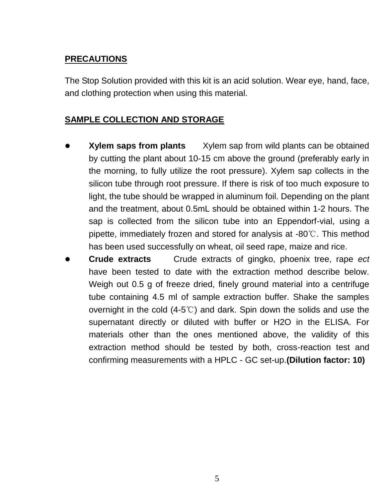## **PRECAUTIONS**

The Stop Solution provided with this kit is an acid solution. Wear eye, hand, face, and clothing protection when using this material.

## **SAMPLE COLLECTION AND STORAGE**

- **Xylem saps from plants** Xylem sap from wild plants can be obtained by cutting the plant about 10-15 cm above the ground (preferably early in the morning, to fully utilize the root pressure). Xylem sap collects in the silicon tube through root pressure. If there is risk of too much exposure to light, the tube should be wrapped in aluminum foil. Depending on the plant and the treatment, about 0.5mL should be obtained within 1-2 hours. The sap is collected from the silicon tube into an Eppendorf-vial, using a pipette, immediately frozen and stored for analysis at -80℃. This method has been used successfully on wheat, oil seed rape, maize and rice.
- **Crude extracts** Crude extracts of gingko, phoenix tree, rape *ect* have been tested to date with the extraction method describe below. Weigh out 0.5 g of freeze dried, finely ground material into a centrifuge tube containing 4.5 ml of sample extraction buffer. Shake the samples overnight in the cold (4-5℃) and dark. Spin down the solids and use the supernatant directly or diluted with buffer or H2O in the ELISA. For materials other than the ones mentioned above, the validity of this extraction method should be tested by both, cross-reaction test and confirming measurements with a HPLC - GC set-up.**(Dilution factor: 10)**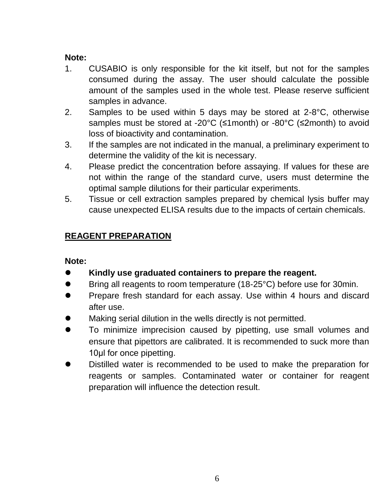#### **Note:**

- 1. CUSABIO is only responsible for the kit itself, but not for the samples consumed during the assay. The user should calculate the possible amount of the samples used in the whole test. Please reserve sufficient samples in advance.
- 2. Samples to be used within 5 days may be stored at 2-8°C, otherwise samples must be stored at -20°C (≤1month) or -80°C (≤2month) to avoid loss of bioactivity and contamination.
- 3. If the samples are not indicated in the manual, a preliminary experiment to determine the validity of the kit is necessary.
- 4. Please predict the concentration before assaying. If values for these are not within the range of the standard curve, users must determine the optimal sample dilutions for their particular experiments.
- 5. Tissue or cell extraction samples prepared by chemical lysis buffer may cause unexpected ELISA results due to the impacts of certain chemicals.

## **REAGENT PREPARATION**

## **Note:**

- **Kindly use graduated containers to prepare the reagent.**
- Bring all reagents to room temperature (18-25°C) before use for 30min.
- **•** Prepare fresh standard for each assay. Use within 4 hours and discard after use.
- Making serial dilution in the wells directly is not permitted.
- To minimize imprecision caused by pipetting, use small volumes and ensure that pipettors are calibrated. It is recommended to suck more than 10μl for once pipetting.
- Distilled water is recommended to be used to make the preparation for reagents or samples. Contaminated water or container for reagent preparation will influence the detection result.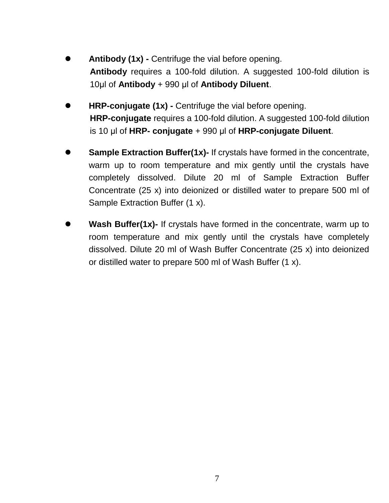- **Antibody (1x) -** Centrifuge the vial before opening. **Antibody** requires a 100-fold dilution. A suggested 100-fold dilution is 10μl of **Antibody** + 990 μl of **Antibody Diluent**.
- **HRP-conjugate (1x) -** Centrifuge the vial before opening. **HRP-conjugate** requires a 100-fold dilution. A suggested 100-fold dilution is 10 μl of **HRP- conjugate** + 990 μl of **HRP-conjugate Diluent**.
- **Sample Extraction Buffer(1x)-** If crystals have formed in the concentrate, warm up to room temperature and mix gently until the crystals have completely dissolved. Dilute 20 ml of Sample Extraction Buffer Concentrate (25 x) into deionized or distilled water to prepare 500 ml of Sample Extraction Buffer (1 x).
- **Wash Buffer(1x)-** If crystals have formed in the concentrate, warm up to room temperature and mix gently until the crystals have completely dissolved. Dilute 20 ml of Wash Buffer Concentrate (25 x) into deionized or distilled water to prepare 500 ml of Wash Buffer (1 x).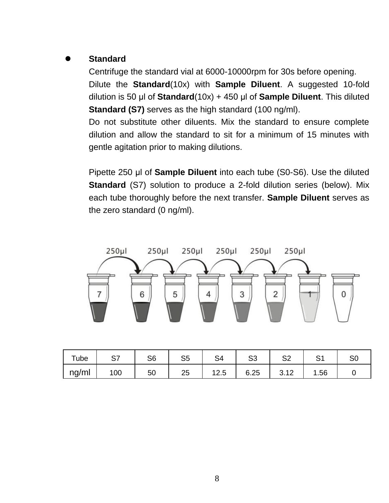## **Standard**

Centrifuge the standard vial at 6000-10000rpm for 30s before opening.

Dilute the **Standard**(10x) with **Sample Diluent**. A suggested 10-fold dilution is 50 μl of **Standard**(10x) + 450 μl of **Sample Diluent**. This diluted **Standard (S7)** serves as the high standard (100 ng/ml).

Do not substitute other diluents. Mix the standard to ensure complete dilution and allow the standard to sit for a minimum of 15 minutes with gentle agitation prior to making dilutions.

Pipette 250 μl of **Sample Diluent** into each tube (S0-S6). Use the diluted **Standard** (S7) solution to produce a 2-fold dilution series (below). Mix each tube thoroughly before the next transfer. **Sample Diluent** serves as the zero standard (0 ng/ml).



| Tube  | c<br>، ت | S6 | S <sub>5</sub> | S4   | S3   | S <sub>2</sub>                          | $\sim$<br>ت | S <sub>C</sub> |
|-------|----------|----|----------------|------|------|-----------------------------------------|-------------|----------------|
| ng/ml | 100      | 50 | 25             | 12.5 | 6.25 | $\overline{A}$<br>$\sim$<br><b>J.IZ</b> | . 56        |                |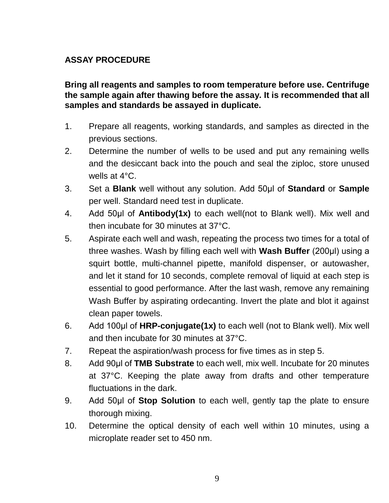## **ASSAY PROCEDURE**

**Bring all reagents and samples to room temperature before use. Centrifuge the sample again after thawing before the assay. It is recommended that all samples and standards be assayed in duplicate.** 

- 1. Prepare all reagents, working standards, and samples as directed in the previous sections.
- 2. Determine the number of wells to be used and put any remaining wells and the desiccant back into the pouch and seal the ziploc, store unused wells at 4°C.
- 3. Set a **Blank** well without any solution. Add 50μl of **Standard** or **Sample** per well. Standard need test in duplicate.
- 4. Add 50μl of **Antibody(1x)** to each well(not to Blank well). Mix well and then incubate for 30 minutes at 37°C.
- 5. Aspirate each well and wash, repeating the process two times for a total of three washes. Wash by filling each well with **Wash Buffer** (200μl) using a squirt bottle, multi-channel pipette, manifold dispenser, or autowasher, and let it stand for 10 seconds, complete removal of liquid at each step is essential to good performance. After the last wash, remove any remaining Wash Buffer by aspirating ordecanting. Invert the plate and blot it against clean paper towels.
- 6. Add 100μl of **HRP-conjugate(1x)** to each well (not to Blank well). Mix well and then incubate for 30 minutes at 37°C.
- 7. Repeat the aspiration/wash process for five times as in step 5.
- 8. Add 90μl of **TMB Substrate** to each well, mix well. Incubate for 20 minutes at 37°C. Keeping the plate away from drafts and other temperature fluctuations in the dark.
- 9. Add 50μl of **Stop Solution** to each well, gently tap the plate to ensure thorough mixing.
- 10. Determine the optical density of each well within 10 minutes, using a microplate reader set to 450 nm.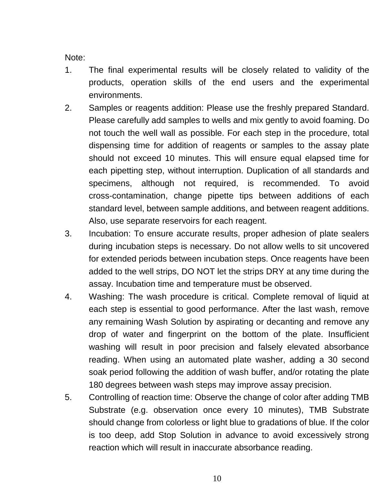Note:

- 1. The final experimental results will be closely related to validity of the products, operation skills of the end users and the experimental environments.
- 2. Samples or reagents addition: Please use the freshly prepared Standard. Please carefully add samples to wells and mix gently to avoid foaming. Do not touch the well wall as possible. For each step in the procedure, total dispensing time for addition of reagents or samples to the assay plate should not exceed 10 minutes. This will ensure equal elapsed time for each pipetting step, without interruption. Duplication of all standards and specimens, although not required, is recommended. To avoid cross-contamination, change pipette tips between additions of each standard level, between sample additions, and between reagent additions. Also, use separate reservoirs for each reagent.
- 3. Incubation: To ensure accurate results, proper adhesion of plate sealers during incubation steps is necessary. Do not allow wells to sit uncovered for extended periods between incubation steps. Once reagents have been added to the well strips, DO NOT let the strips DRY at any time during the assay. Incubation time and temperature must be observed.
- 4. Washing: The wash procedure is critical. Complete removal of liquid at each step is essential to good performance. After the last wash, remove any remaining Wash Solution by aspirating or decanting and remove any drop of water and fingerprint on the bottom of the plate. Insufficient washing will result in poor precision and falsely elevated absorbance reading. When using an automated plate washer, adding a 30 second soak period following the addition of wash buffer, and/or rotating the plate 180 degrees between wash steps may improve assay precision.
- 5. Controlling of reaction time: Observe the change of color after adding TMB Substrate (e.g. observation once every 10 minutes), TMB Substrate should change from colorless or light blue to gradations of blue. If the color is too deep, add Stop Solution in advance to avoid excessively strong reaction which will result in inaccurate absorbance reading.